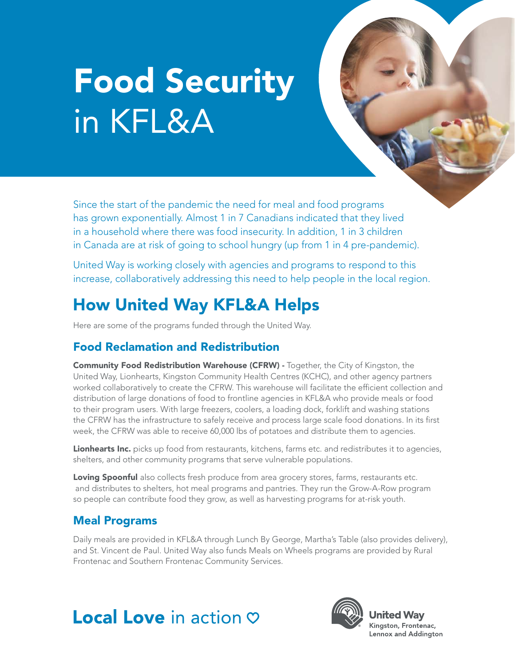# Food Security in KFL&A

Since the start of the pandemic the need for meal and food programs has grown exponentially. Almost 1 in 7 Canadians indicated that they lived in a household where there was food insecurity. In addition, 1 in 3 children in Canada are at risk of going to school hungry (up from 1 in 4 pre-pandemic).

United Way is working closely with agencies and programs to respond to this increase, collaboratively addressing this need to help people in the local region.

### How United Way KFL&A Helps

Here are some of the programs funded through the United Way.

### Food Reclamation and Redistribution

Community Food Redistribution Warehouse (CFRW) - Together, the City of Kingston, the United Way, Lionhearts, Kingston Community Health Centres (KCHC), and other agency partners worked collaboratively to create the CFRW. This warehouse will facilitate the efficient collection and distribution of large donations of food to frontline agencies in KFL&A who provide meals or food to their program users. With large freezers, coolers, a loading dock, forklift and washing stations the CFRW has the infrastructure to safely receive and process large scale food donations. In its first week, the CFRW was able to receive 60,000 lbs of potatoes and distribute them to agencies.

Lionhearts Inc. picks up food from restaurants, kitchens, farms etc. and redistributes it to agencies, shelters, and other community programs that serve vulnerable populations.

Loving Spoonful also collects fresh produce from area grocery stores, farms, restaurants etc. and distributes to shelters, hot meal programs and pantries. They run the Grow-A-Row program so people can contribute food they grow, as well as harvesting programs for at-risk youth.

### Meal Programs

Daily meals are provided in KFL&A through Lunch By George, Martha's Table (also provides delivery), and St. Vincent de Paul. United Way also funds Meals on Wheels programs are provided by Rural Frontenac and Southern Frontenac Community Services.

## **Local Love** in action  $\heartsuit$



**United Wav** Kingston, Frontenac, Lennox and Addington